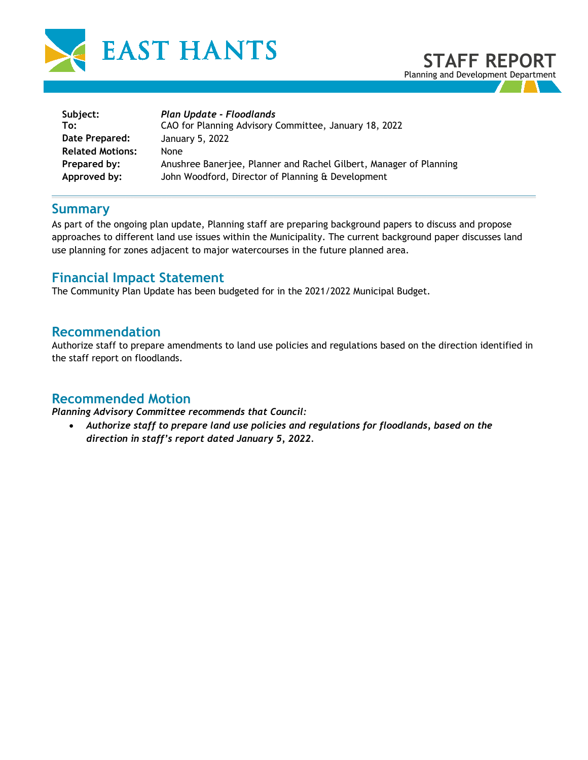



| Plan Update - Floodlands<br>CAO for Planning Advisory Committee, January 18, 2022 |
|-----------------------------------------------------------------------------------|
| January 5, 2022                                                                   |
| None.                                                                             |
| Anushree Banerjee, Planner and Rachel Gilbert, Manager of Planning                |
| John Woodford, Director of Planning & Development                                 |
|                                                                                   |

### **Summary**

As part of the ongoing plan update, Planning staff are preparing background papers to discuss and propose approaches to different land use issues within the Municipality. The current background paper discusses land use planning for zones adjacent to major watercourses in the future planned area.

# **Financial Impact Statement**

The Community Plan Update has been budgeted for in the 2021/2022 Municipal Budget.

### **Recommendation**

Authorize staff to prepare amendments to land use policies and regulations based on the direction identified in the staff report on floodlands.

### **Recommended Motion**

*Planning Advisory Committee recommends that Council:* 

• *Authorize staff to prepare land use policies and regulations for floodlands, based on the direction in staff's report dated January 5, 2022.*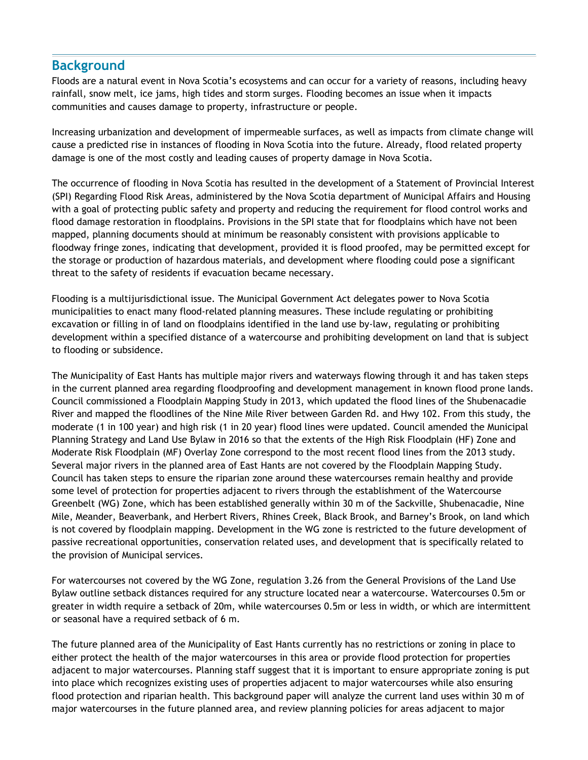# **Background**

Floods are a natural event in Nova Scotia's ecosystems and can occur for a variety of reasons, including heavy rainfall, snow melt, ice jams, high tides and storm surges. Flooding becomes an issue when it impacts communities and causes damage to property, infrastructure or people.

Increasing urbanization and development of impermeable surfaces, as well as impacts from climate change will cause a predicted rise in instances of flooding in Nova Scotia into the future. Already, flood related property damage is one of the most costly and leading causes of property damage in Nova Scotia.

The occurrence of flooding in Nova Scotia has resulted in the development of a Statement of Provincial Interest (SPI) Regarding Flood Risk Areas, administered by the Nova Scotia department of Municipal Affairs and Housing with a goal of protecting public safety and property and reducing the requirement for flood control works and flood damage restoration in floodplains. Provisions in the SPI state that for floodplains which have not been mapped, planning documents should at minimum be reasonably consistent with provisions applicable to floodway fringe zones, indicating that development, provided it is flood proofed, may be permitted except for the storage or production of hazardous materials, and development where flooding could pose a significant threat to the safety of residents if evacuation became necessary.

Flooding is a multijurisdictional issue. The Municipal Government Act delegates power to Nova Scotia municipalities to enact many flood-related planning measures. These include regulating or prohibiting excavation or filling in of land on floodplains identified in the land use by-law, regulating or prohibiting development within a specified distance of a watercourse and prohibiting development on land that is subject to flooding or subsidence.

The Municipality of East Hants has multiple major rivers and waterways flowing through it and has taken steps in the current planned area regarding floodproofing and development management in known flood prone lands. Council commissioned a Floodplain Mapping Study in 2013, which updated the flood lines of the Shubenacadie River and mapped the floodlines of the Nine Mile River between Garden Rd. and Hwy 102. From this study, the moderate (1 in 100 year) and high risk (1 in 20 year) flood lines were updated. Council amended the Municipal Planning Strategy and Land Use Bylaw in 2016 so that the extents of the High Risk Floodplain (HF) Zone and Moderate Risk Floodplain (MF) Overlay Zone correspond to the most recent flood lines from the 2013 study. Several major rivers in the planned area of East Hants are not covered by the Floodplain Mapping Study. Council has taken steps to ensure the riparian zone around these watercourses remain healthy and provide some level of protection for properties adjacent to rivers through the establishment of the Watercourse Greenbelt (WG) Zone, which has been established generally within 30 m of the Sackville, Shubenacadie, Nine Mile, Meander, Beaverbank, and Herbert Rivers, Rhines Creek, Black Brook, and Barney's Brook, on land which is not covered by floodplain mapping. Development in the WG zone is restricted to the future development of passive recreational opportunities, conservation related uses, and development that is specifically related to the provision of Municipal services.

For watercourses not covered by the WG Zone, regulation 3.26 from the General Provisions of the Land Use Bylaw outline setback distances required for any structure located near a watercourse. Watercourses 0.5m or greater in width require a setback of 20m, while watercourses 0.5m or less in width, or which are intermittent or seasonal have a required setback of 6 m.

The future planned area of the Municipality of East Hants currently has no restrictions or zoning in place to either protect the health of the major watercourses in this area or provide flood protection for properties adjacent to major watercourses. Planning staff suggest that it is important to ensure appropriate zoning is put into place which recognizes existing uses of properties adjacent to major watercourses while also ensuring flood protection and riparian health. This background paper will analyze the current land uses within 30 m of major watercourses in the future planned area, and review planning policies for areas adjacent to major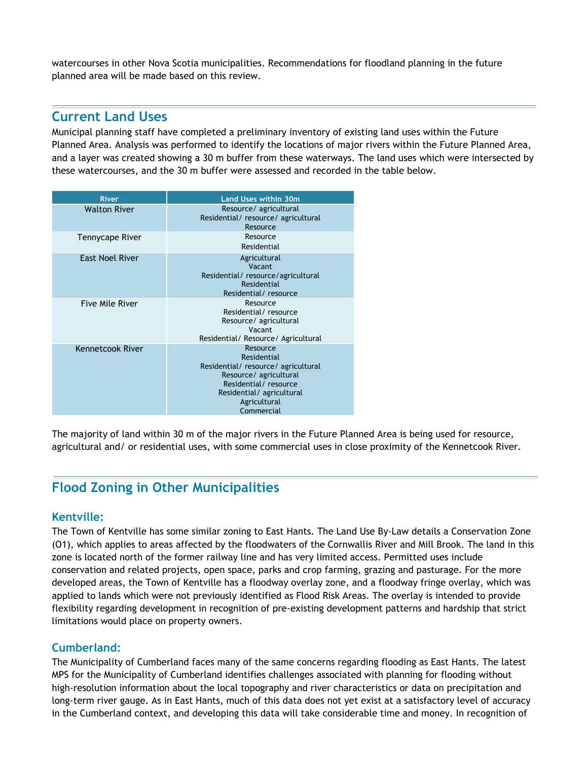watercourses in other Nova Scotia municipalities. Recommendations for floodland planning in the future planned area will be made based on this review.

## **Current Land Uses**

Municipal planning staff have completed a preliminary inventory of existing land uses within the Future Planned Area. Analysis was performed to identify the locations of major rivers within the Future Planned Area, and a layer was created showing a 30 m buffer from these waterways. The land uses which were intersected by these watercourses, and the 30 m buffer were assessed and recorded in the table below.

| <b>River</b>           | <b>Land Uses within 30m</b>                                                                                                                                              |
|------------------------|--------------------------------------------------------------------------------------------------------------------------------------------------------------------------|
| <b>Walton River</b>    | Resource/ agricultural<br>Residential/resource/agricultural<br>Resource                                                                                                  |
| Tennycape River        | Resource<br>Residential                                                                                                                                                  |
| <b>East Noel River</b> | Agricultural<br>Vacant<br>Residential/resource/agricultural<br>Residential<br>Residential/resource                                                                       |
| Five Mile River        | Resource<br>Residential/resource<br>Resource/ agricultural<br>Vacant<br>Residential/ Resource/ Agricultural                                                              |
| Kennetcook River       | Resource<br>Residential<br>Residential/resource/agricultural<br>Resource/ agricultural<br>Residential/resource<br>Residential/agricultural<br>Agricultural<br>Commercial |

The majority of land within 30 m of the major rivers in the Future Planned Area is being used for resource, agricultural and/ or residential uses, with some commercial uses in close proximity of the Kennetcook River.

# **Flood Zoning in Other Municipalities**

#### **Kentville:**

The Town of Kentville has some similar zoning to East Hants. The Land Use By-Law details a Conservation Zone (O1), which applies to areas affected by the floodwaters of the Cornwallis River and Mill Brook. The land in this zone is located north of the former railway line and has very limited access. Permitted uses include conservation and related projects, open space, parks and crop farming, grazing and pasturage. For the more developed areas, the Town of Kentville has a floodway overlay zone, and a floodway fringe overlay, which was applied to lands which were not previously identified as Flood Risk Areas. The overlay is intended to provide flexibility regarding development in recognition of pre-existing development patterns and hardship that strict limitations would place on property owners.

### **Cumberland:**

The Municipality of Cumberland faces many of the same concerns regarding flooding as East Hants. The latest MPS for the Municipality of Cumberland identifies challenges associated with planning for flooding without high-resolution information about the local topography and river characteristics or data on precipitation and long-term river gauge. As in East Hants, much of this data does not yet exist at a satisfactory level of accuracy in the Cumberland context, and developing this data will take considerable time and money. In recognition of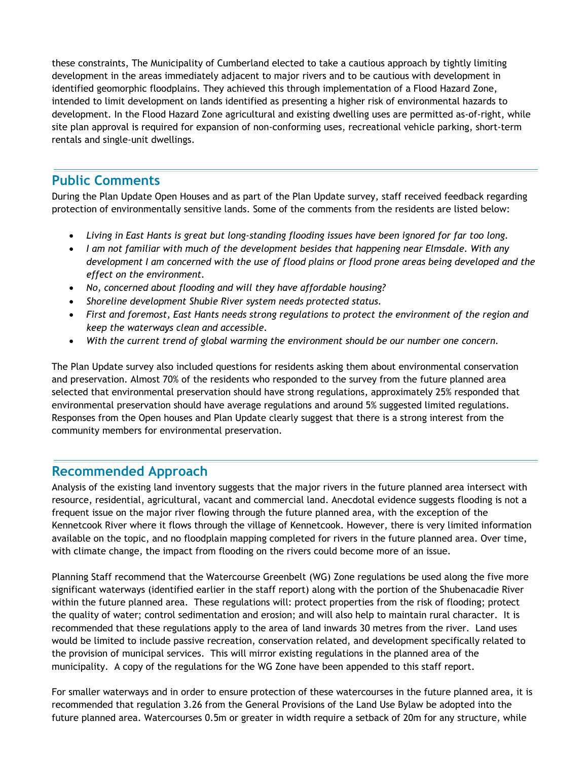these constraints, The Municipality of Cumberland elected to take a cautious approach by tightly limiting development in the areas immediately adjacent to major rivers and to be cautious with development in identified geomorphic floodplains. They achieved this through implementation of a Flood Hazard Zone, intended to limit development on lands identified as presenting a higher risk of environmental hazards to development. In the Flood Hazard Zone agricultural and existing dwelling uses are permitted as-of-right, while site plan approval is required for expansion of non-conforming uses, recreational vehicle parking, short-term rentals and single-unit dwellings.

# **Public Comments**

During the Plan Update Open Houses and as part of the Plan Update survey, staff received feedback regarding protection of environmentally sensitive lands. Some of the comments from the residents are listed below:

- *Living in East Hants is great but long-standing flooding issues have been ignored for far too long.*
- *I am not familiar with much of the development besides that happening near Elmsdale. With any development I am concerned with the use of flood plains or flood prone areas being developed and the effect on the environment.*
- *No, concerned about flooding and will they have affordable housing?*
- *Shoreline development Shubie River system needs protected status.*
- *First and foremost, East Hants needs strong regulations to protect the environment of the region and keep the waterways clean and accessible.*
- *With the current trend of global warming the environment should be our number one concern.*

The Plan Update survey also included questions for residents asking them about environmental conservation and preservation. Almost 70% of the residents who responded to the survey from the future planned area selected that environmental preservation should have strong regulations, approximately 25% responded that environmental preservation should have average regulations and around 5% suggested limited regulations. Responses from the Open houses and Plan Update clearly suggest that there is a strong interest from the community members for environmental preservation.

## **Recommended Approach**

Analysis of the existing land inventory suggests that the major rivers in the future planned area intersect with resource, residential, agricultural, vacant and commercial land. Anecdotal evidence suggests flooding is not a frequent issue on the major river flowing through the future planned area, with the exception of the Kennetcook River where it flows through the village of Kennetcook. However, there is very limited information available on the topic, and no floodplain mapping completed for rivers in the future planned area. Over time, with climate change, the impact from flooding on the rivers could become more of an issue.

Planning Staff recommend that the Watercourse Greenbelt (WG) Zone regulations be used along the five more significant waterways (identified earlier in the staff report) along with the portion of the Shubenacadie River within the future planned area. These regulations will: protect properties from the risk of flooding; protect the quality of water; control sedimentation and erosion; and will also help to maintain rural character. It is recommended that these regulations apply to the area of land inwards 30 metres from the river. Land uses would be limited to include passive recreation, conservation related, and development specifically related to the provision of municipal services. This will mirror existing regulations in the planned area of the municipality. A copy of the regulations for the WG Zone have been appended to this staff report.

For smaller waterways and in order to ensure protection of these watercourses in the future planned area, it is recommended that regulation 3.26 from the General Provisions of the Land Use Bylaw be adopted into the future planned area. Watercourses 0.5m or greater in width require a setback of 20m for any structure, while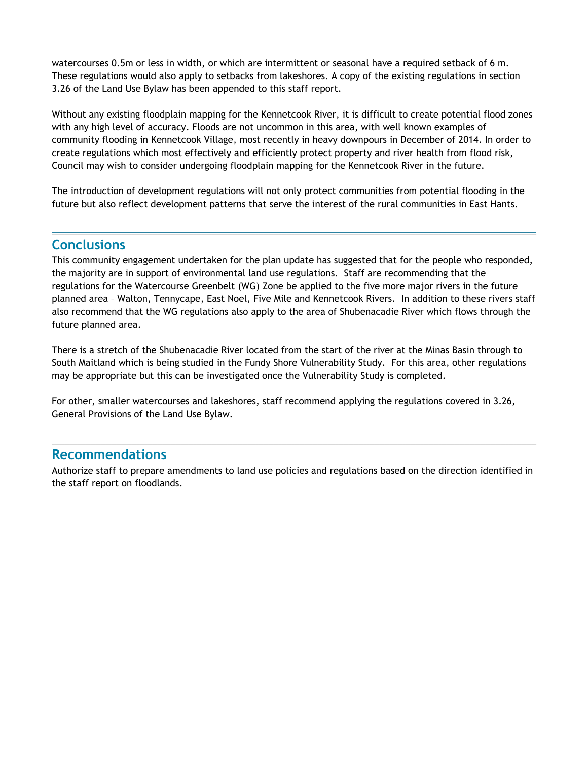watercourses 0.5m or less in width, or which are intermittent or seasonal have a required setback of 6 m. These regulations would also apply to setbacks from lakeshores. A copy of the existing regulations in section 3.26 of the Land Use Bylaw has been appended to this staff report.

Without any existing floodplain mapping for the Kennetcook River, it is difficult to create potential flood zones with any high level of accuracy. Floods are not uncommon in this area, with well known examples of community flooding in Kennetcook Village, most recently in heavy downpours in December of 2014. In order to create regulations which most effectively and efficiently protect property and river health from flood risk, Council may wish to consider undergoing floodplain mapping for the Kennetcook River in the future.

The introduction of development regulations will not only protect communities from potential flooding in the future but also reflect development patterns that serve the interest of the rural communities in East Hants.

# **Conclusions**

This community engagement undertaken for the plan update has suggested that for the people who responded, the majority are in support of environmental land use regulations. Staff are recommending that the regulations for the Watercourse Greenbelt (WG) Zone be applied to the five more major rivers in the future planned area – Walton, Tennycape, East Noel, Five Mile and Kennetcook Rivers. In addition to these rivers staff also recommend that the WG regulations also apply to the area of Shubenacadie River which flows through the future planned area.

There is a stretch of the Shubenacadie River located from the start of the river at the Minas Basin through to South Maitland which is being studied in the Fundy Shore Vulnerability Study. For this area, other regulations may be appropriate but this can be investigated once the Vulnerability Study is completed.

For other, smaller watercourses and lakeshores, staff recommend applying the regulations covered in 3.26, General Provisions of the Land Use Bylaw.

## **Recommendations**

Authorize staff to prepare amendments to land use policies and regulations based on the direction identified in the staff report on floodlands.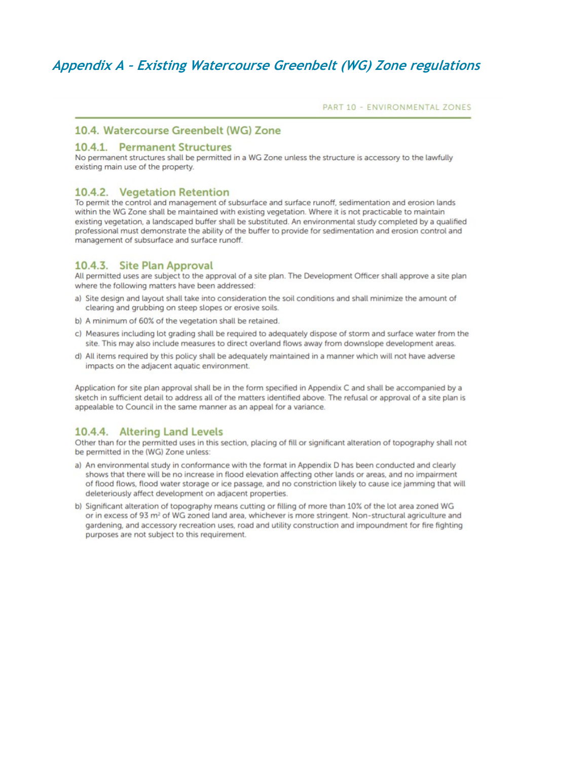PART 10 - ENVIRONMENTAL ZONES

#### 10.4. Watercourse Greenbelt (WG) Zone

#### 10.4.1. Permanent Structures

No permanent structures shall be permitted in a WG Zone unless the structure is accessory to the lawfully existing main use of the property.

#### 10.4.2. Vegetation Retention

To permit the control and management of subsurface and surface runoff, sedimentation and erosion lands within the WG Zone shall be maintained with existing vegetation. Where it is not practicable to maintain existing vegetation, a landscaped buffer shall be substituted. An environmental study completed by a qualified professional must demonstrate the ability of the buffer to provide for sedimentation and erosion control and management of subsurface and surface runoff.

#### 10.4.3. Site Plan Approval

All permitted uses are subject to the approval of a site plan. The Development Officer shall approve a site plan where the following matters have been addressed:

- a) Site design and layout shall take into consideration the soil conditions and shall minimize the amount of clearing and grubbing on steep slopes or erosive soils.
- b) A minimum of 60% of the vegetation shall be retained.
- c) Measures including lot grading shall be required to adequately dispose of storm and surface water from the site. This may also include measures to direct overland flows away from downslope development areas.
- d) All items required by this policy shall be adequately maintained in a manner which will not have adverse impacts on the adjacent aquatic environment.

Application for site plan approval shall be in the form specified in Appendix C and shall be accompanied by a sketch in sufficient detail to address all of the matters identified above. The refusal or approval of a site plan is appealable to Council in the same manner as an appeal for a variance.

#### 10.4.4. Altering Land Levels

Other than for the permitted uses in this section, placing of fill or significant alteration of topography shall not be permitted in the (WG) Zone unless:

- a) An environmental study in conformance with the format in Appendix D has been conducted and clearly shows that there will be no increase in flood elevation affecting other lands or areas, and no impairment of flood flows, flood water storage or ice passage, and no constriction likely to cause ice jamming that will deleteriously affect development on adjacent properties.
- b) Significant alteration of topography means cutting or filling of more than 10% of the lot area zoned WG or in excess of 93 m<sup>2</sup> of WG zoned land area, whichever is more stringent. Non-structural agriculture and gardening, and accessory recreation uses, road and utility construction and impoundment for fire fighting purposes are not subject to this requirement.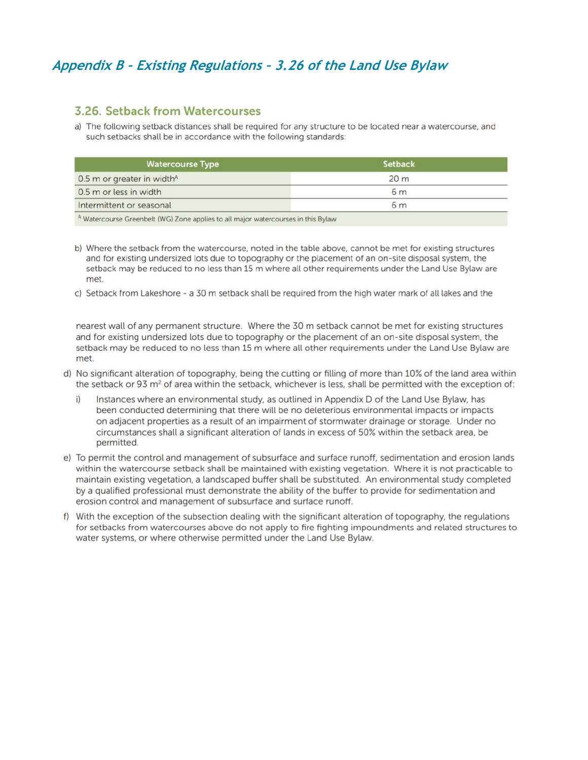# Appendix B - Existing Regulations - 3.26 of the Land Use Bylaw

#### 3.26. Setback from Watercourses

a) The following setback distances shall be required for any structure to be located near a watercourse, and such setbacks shall be in accordance with the following standards:

| <b>Watercourse Type</b>                | <b>Setback</b>  |
|----------------------------------------|-----------------|
| 0.5 m or greater in width <sup>A</sup> | 20 <sub>m</sub> |
| 0.5 m or less in width                 | 6 <sub>m</sub>  |
| Intermittent or seasonal               | 6 <sub>m</sub>  |

b) Where the setback from the watercourse, noted in the table above, cannot be met for existing structures and for existing undersized lots due to topography or the placement of an on-site disposal system, the setback may be reduced to no less than 15 m where all other requirements under the Land Use Bylaw are met.

c) Setback from Lakeshore - a 30 m setback shall be required from the high water mark of all lakes and the

nearest wall of any permanent structure. Where the 30 m setback cannot be met for existing structures and for existing undersized lots due to topography or the placement of an on-site disposal system, the setback may be reduced to no less than 15 m where all other requirements under the Land Use Bylaw are met

- d) No significant alteration of topography, being the cutting or filling of more than 10% of the land area within the setback or 93 m<sup>2</sup> of area within the setback, whichever is less, shall be permitted with the exception of:
	- i) Instances where an environmental study, as outlined in Appendix D of the Land Use Bylaw, has been conducted determining that there will be no deleterious environmental impacts or impacts on adjacent properties as a result of an impairment of stormwater drainage or storage. Under no circumstances shall a significant alteration of lands in excess of 50% within the setback area, be permitted.
- e) To permit the control and management of subsurface and surface runoff, sedimentation and erosion lands within the watercourse setback shall be maintained with existing vegetation. Where it is not practicable to maintain existing vegetation, a landscaped buffer shall be substituted. An environmental study completed by a qualified professional must demonstrate the ability of the buffer to provide for sedimentation and erosion control and management of subsurface and surface runoff.
- f) With the exception of the subsection dealing with the significant alteration of topography, the regulations for setbacks from watercourses above do not apply to fire fighting impoundments and related structures to water systems, or where otherwise permitted under the Land Use Bylaw.